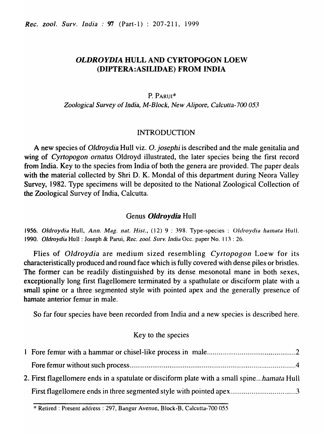# *OLDROYDIA* HULL AND CYRTOPOGON LOEW (DIPTERA:ASILIDAE) FROM INDIA

### P. PARUl\*

*Zoological Survey* of *India, M-Block, New Alipore, Ca/culta-700 053* 

## INTRODUCTION

A new ·species of *Oldroydia* Hull viz. O. *josephi* is described and the male genitalia and wing of *Cyrtopogon omatus* Oldroyd illustrated, the later species being the first record from India. Key to the species from India of both the genera are provided. The paper deals with the material collected by Shri D. K. Mondal of this department during Neora Valley Survey, 1982. Type specimens will be deposited to the National Zoological Collection of the Zoological Survey of India, Calcutta.

## Genus *OJdroydia* Hull

**1956. Oldroydia Hull,** *Ann. Mag. nat. Hist.,* (12) 9 : 398. Type-species: *Oldroydia hamata Hull. 1990. OJdroydia* Hull: Joseph & Parui, *Rec. zool. Surv. India* Oce. paper No. )) 3 : 26.

Flies of *Oldroydia* are medium sized resembling *Cyrtopogon* Loew for its characteristically produced and round face which is fully covered with dense piles or bristles. The former can be readily distinguished by its derise. mesonotal mane in both sexes, exceptionally long first flagellomere terminated by a spathulate or disciform plate with a small spine or a three segmented style with pointed apex and the generally presence of hamate anterior femur in male.

So far four species have been recorded from India and a new species is described here.

## Key to the species

| 2. First flagellomere ends in a spatulate or disciform plate with a small spinehamata Hull |  |
|--------------------------------------------------------------------------------------------|--|
| First flagellomere ends in three segmented style with pointed apex3                        |  |

<sup>:</sup>I: Retired: Present address: 297, Bangur Avenue, Block-B, Calcutta-700 055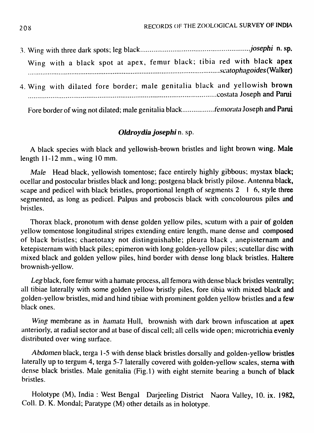| Wing with a black spot at apex, femur black; tibia red with black apex         |  |
|--------------------------------------------------------------------------------|--|
| 4. Wing with dilated fore border; male genitalia black and yellowish brown     |  |
| Fore border of wing not dilated; male genitalia blackfemorata Joseph and Parui |  |

## *Oldroydia josephi n. sp.*

A black species with black and yellowish-brown bristles and light brown wing. Male length 11-12 mm., wing 10 mm.

*Male* Head black, yellowish tomentose; face entirely highly gibbous; mystax black; ocellar and postocular bristles black and long; postgena black bristly pilose. Antenna black, scape and pedicel with black bristles, proportional length of segments  $2 \mid 6$ , style three segmented, as long as pedicel. Palpus and proboscis black with concolourous piles and bristles.

Thorax black, pronotum with dense golden yellow piles, scutum with a pair of golden yellow tomentose longitudinal stripes extending entire length, mane dense and composed of black bristles; chaetotaxy not distinguishable; pleura black, anepisternam and ketepisternam with black piles; epimeron with long golden-yellow piles; scutellar disc with mixed black and golden yellow piles, hind border with dense long black bristles. Haltere brownish-yellow.

*Leg* black, fore femur with a hamate process, all femora with dense black bristles ventrally; all tibiae laterally with some golden yellow bristly piles, fore tibia with mixed black and golden-yellow bristles, mid and hind tibiae with prominent golden yellow bristles and a few black ones.

*Wing* membrane as in *hamata* Hull, brownish with dark brown infuscation at apex anteriorly, at radial sector and at base of discal cell; all cells wide open; microtrichia evenly distributed over wing surface.

*Abdomen* black, terga 1-5 with dense black bristles dorsally and golden-yellow bristles laterally up to tergum 4, terga 5-7 laterally covered with golden-yellow scales, sterna with dense black bristles. Male genitalia (Fig.1) with eight sternite bearing a bunch of black bristles.

Holotype (M), India: West Bengal Darjeeling District Naora Valley, 10. ix. 1982, Coil. D. K. Mondal; Paratype (M) other details as in holotype.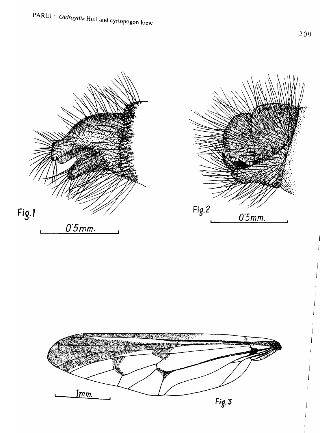

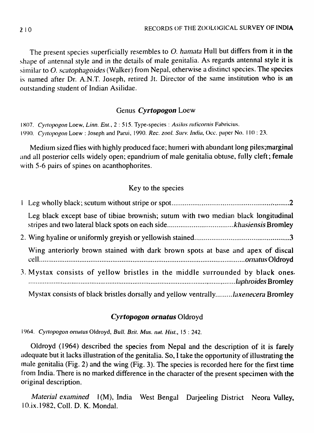The present species superficially resembles to O. hamata Hull but differs from it in the shape of antennal style and in the details of male genitalia. As regards antennal style it is similar to O. scatophagoides (Walker) from Nepal, otherwise a distinct species. The species is named after Dr. A.N.T. Joseph, retired Jt. Director of the same institution who is an outstanding student of Indian Asilidae.

## Genus *Cyrtopogon* Loew

1807. Cyrtopogon Loew, Linn. Ent., 2 : 515. Type-species : Asilus ruficornis Fabricius. 1990. Cyrtopogon Loew : Joseph and Parui, 1990. *Rec. zool. Surv. India*, Occ. paper No. 110 : 23.

Medium sized flies with highly produced face; humeri with abundant long piles; marginal and all posterior cells widely open; epandrium of male genitalia obtuse, fully cleft; female with 5-6 pairs of spines on acanthophorites.

# Key to the species

| Leg black except base of tibiae brownish; sutum with two median black longitudinal |  |
|------------------------------------------------------------------------------------|--|
|                                                                                    |  |
| Wing anteriorly brown stained with dark brown spots at base and apex of discal     |  |
| 3. Mystax consists of yellow bristles in the middle surrounded by black ones.      |  |
| Mystax consists of black bristles dorsally and yellow ventrallylaxenecera Bromley  |  |

# *Cyrtopogon ornatus* Oldroyd

1964. Cyrtopogon ornatus Oldroyd, Bull. Brit. Mus. nat. Hist., 15 : 242.

Oldroyd (1964) described the species from Nepal and the description of it is farely adequate but it lacks illustration of the genitalia. So, I take the opportunity of illustrating the male genitalia (Fig. 2) and the wing (Fig. 3). The species is recorded here for the first time from India. There is no marked difference in the character of the present specimen with the original description.

*Material examined* 1(M), India West Bengal Darjeeling District Neora Valley, I O.ix.1982, ColI. D. K. Mondai.